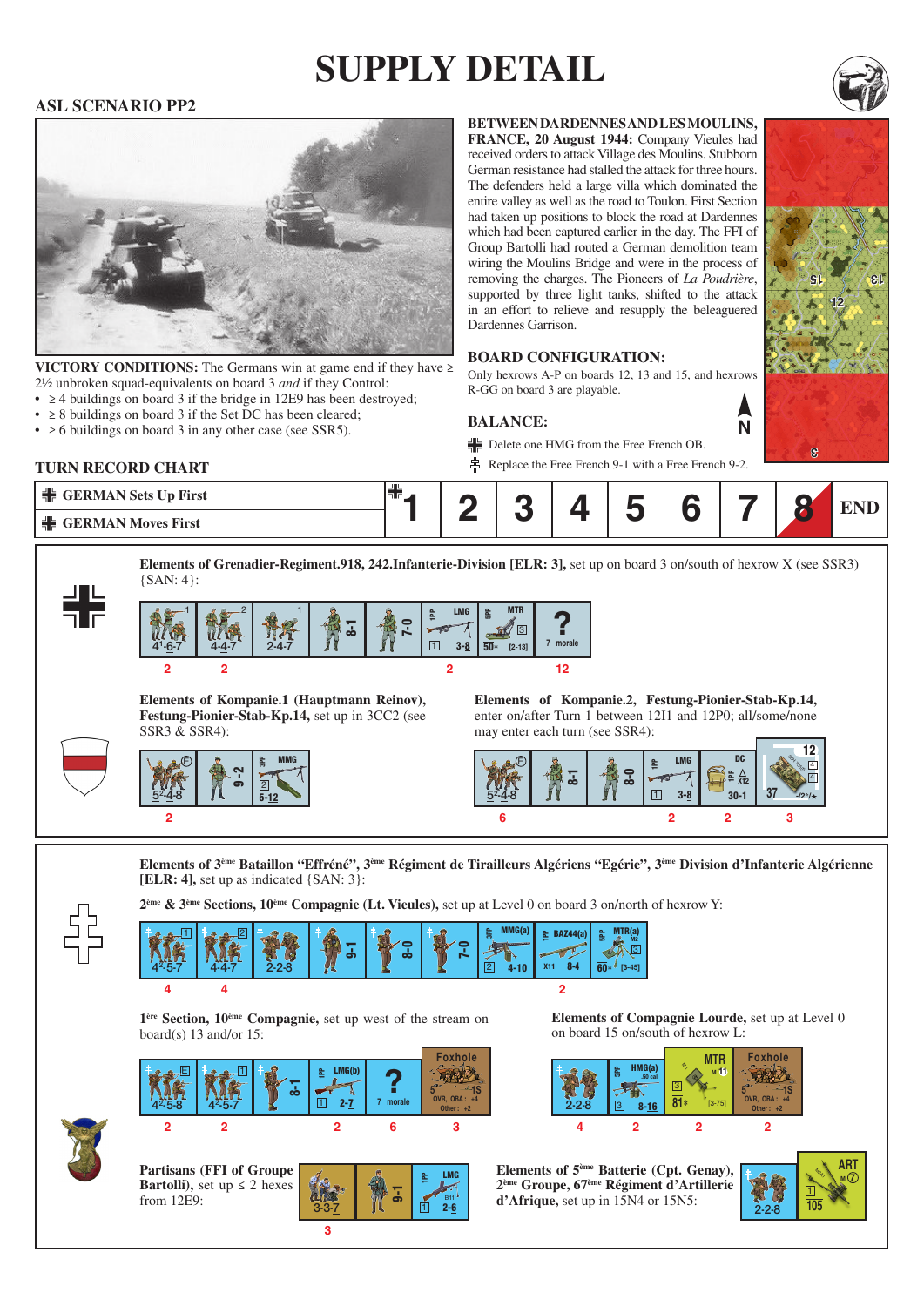# **supply detail**

### **ASL SCENARIO PP2**



**VICTORY CONDITIONS:** The Germans win at game end if they have  $\geq$ 2½ unbroken squad-equivalents on board 3 *and* if they Control:

- $\geq$  4 buildings on board 3 if the bridge in 12E9 has been destroyed;
- $\geq$  8 buildings on board 3 if the Set DC has been cleared;
- $\geq 6$  buildings on board 3 in any other case (see SSR5).

**between dardennes and les moulins,** 

**france, 20 August 1944:** Company Vieules had received orders to attack Village des Moulins. Stubborn German resistance had stalled the attack for three hours. The defenders held a large villa which dominated the entire valley as well as the road to Toulon. First Section had taken up positions to block the road at Dardennes which had been captured earlier in the day. The FFI of Group Bartolli had routed a German demolition team wiring the Moulins Bridge and were in the process of removing the charges. The Pioneers of *La Poudrière*, supported by three light tanks, shifted to the attack in an effort to relieve and resupply the beleaguered Dardennes Garrison.

#### **Board configuration:**

Only hexrows A-P on boards 12, 13 and 15, and hexrows R-GG on board 3 are playable.

#### **Balance:**

Delete one HMG from the Free French OB.

Replace the Free French 9-1 with a Free French 9-2.



**Elements of Grenadier-Regiment.918, 242.Infanterie-Division [ELR: 3],** set up on board 3 on/south of hexrow X (see SSR3) {SAN: 4}:



**Elements of Kompanie.1 (Hauptmann Reinov), Festung-Pionier-Stab-Kp.14,** set up in 3CC2 (see SSR3 & SSR4):



**Partisans (FFI of Groupe Bartolli**), set up  $\leq 2$  hexes

from 12E9:

**Elements of Kompanie.2, Festung-Pionier-Stab-Kp.14,**  enter on/after Turn 1 between 12I1 and 12P0; all/some/none may enter each turn (see SSR4):





**Elements of 3ème Bataillon "Effréné", 3ème Régiment de Tirailleurs Algériens "Egérie", 3ème Division d'Infanterie Algérienne [ELR: 4],** set up as indicated {SAN: 3}:

**2ème & 3ème Sections, 10ème Compagnie (Lt. Vieules),** set up at Level 0 on board 3 on/north of hexrow Y:

2-6

립 LMG

1 B11

|  | - | لون<br>$-2-8$ | <b>S</b><br>51 | $\epsilon$<br>∞ | e | <b>MMC/s</b><br>읋<br><b>STATISTICS</b><br>ш<br>$\overline{2}$ | адия<br>≘<br>$\bullet$<br>X1 | <b>e</b><br>A<br>$\overline{\phantom{a}}$<br>$\overline{\mathbf{c}}$<br>$3 - 451$ |
|--|---|---------------|----------------|-----------------|---|---------------------------------------------------------------|------------------------------|-----------------------------------------------------------------------------------|
|  |   |               |                |                 |   |                                                               |                              |                                                                                   |

**1ère Section, 10ème Compagnie,** set up west of the stream on board(s)  $13$  and/or  $15$ :



**3**

**Elements of Compagnie Lourde,** set up at Level 0 on board 15 on/south of hexrow L:



**Elements of 5ème Batterie (Cpt. Genay), 2ème Groupe, 67ème Régiment d'Artillerie d'Afrique, set up in 15N4 or 15N5:** 





**N**